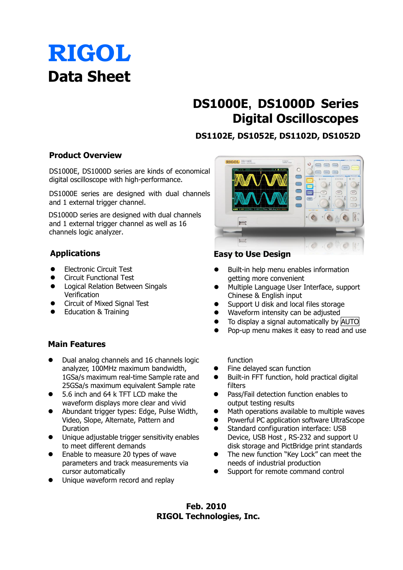# **RIGOL Data Sheet**

# **DS1000E, DS1000D Series Digital Oscilloscopes**

# **DS1102E, DS1052E, DS1102D, DS1052D**

# **Product Overview**

DS1000E, DS1000D series are kinds of economical digital oscilloscope with high-performance.

DS1000E series are designed with dual channels and 1 external trigger channel.

DS1000D series are designed with dual channels and 1 external trigger channel as well as 16 channels logic analyzer.

# **Applications**

- **Electronic Circuit Test**
- **•** Circuit Functional Test
- **•** Logical Relation Between Singals Verification
- **•** Circuit of Mixed Signal Test
- **•** Education & Training

# **Main Features**

- Dual analog channels and 16 channels logic analyzer, 100MHz maximum bandwidth, 1GSa/s maximum real-time Sample rate and 25GSa/s maximum equivalent Sample rate
- 5.6 inch and 64 k TFT LCD make the waveform displays more clear and vivid
- Abundant trigger types: Edge, Pulse Width, Video, Slope, Alternate, Pattern and Duration
- Unique adjustable trigger sensitivity enables to meet different demands
- Enable to measure 20 types of wave parameters and track measurements via cursor automatically
- $\bullet$  Unique waveform record and replay



# **Easy to Use Design**

- Built-in help menu enables information getting more convenient
- Multiple Language User Interface, support Chinese & English input
- Support U disk and local files storage
- Waveform intensity can be adjusted
- To display a signal automatically by AUTO
- Pop-up menu makes it easy to read and use

### function

- Fine delayed scan function
- Built-in FFT function, hold practical digital filters
- Pass/Fail detection function enables to output testing results
- Math operations available to multiple waves
- Powerful PC application software UltraScope
- **•** Standard configuration interface: USB Device, USB Host , RS-232 and support U disk storage and PictBridge print standards
- The new function "Key Lock" can meet the needs of industrial production
- Support for remote command control

**Feb. 2010 RIGOL Technologies, Inc.**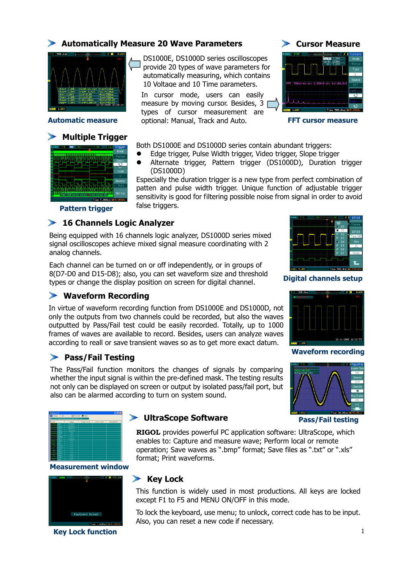# **Automatically Measure 20 Wave Parameters**



## **Multiple Trigger**



DS1000E, DS1000D series oscilloscopes provide 20 types of wave parameters for automatically measuring, which contains 10 Voltage and 10 Time parameters.

**Automatic measure** *perional: Manual, Track and Auto.* **<b>FFT cursor measure** *FFT* In cursor mode, users can easily measure by moving cursor. Besides, 3 types of cursor measurement are

**Cursor Measure**



Both DS1000E and DS1000D series contain abundant triggers:

- Edge trigger, Pulse Width trigger, Video trigger, Slope trigger
- Alternate trigger, Pattern trigger (DS1000D), Duration trigger (DS1000D)

Especially the duration trigger is a new type from perfect combination of patten and pulse width trigger. Unique function of adjustable trigger sensitivity is good for filtering possible noise from signal in order to avoid false triggers.

**Pattern trigger**

## **16 Channels Logic Analyzer**

Being equipped with 16 channels logic analyzer, DS1000D series mixed signal oscilloscopes achieve mixed signal measure coordinating with 2 analog channels.

by Bo and B13 Bo<sub>J</sub>, also, you can see waveform size and emerging **Digital channels setup**<br>types or change the display position on screen for digital channel. Each channel can be turned on or off independently, or in groups of 8(D7-D0 and D15-D8); also, you can set waveform size and threshold

# **Waveform Recording**

In virtue of waveform recording function from DS1000E and DS1000D, not only the outputs from two channels could be recorded, but also the waves outputted by Pass/Fail test could be easily recorded. Totally, up to 1000 frames of waves are available to record. Besides, users can analyze waves according to reall or save transient waves so as to get more exact datum.

# **Pass/Fail Testing**

The Pass/Fail function monitors the changes of signals by comparing whether the input signal is within the pre-defined mask. The testing results not only can be displayed on screen or output by isolated pass/fail port, but also can be alarmed according to turn on system sound.



### **Measurement window**



**Key Lock function** 



**RIGOL** provides powerful PC application software: UltraScope, which enables to: Capture and measure wave; Perform local or remote operation; Save waves as ".bmp" format; Save files as ".txt" or ".xls" format; Print waveforms.

## **Key Lock**

This function is widely used in most productions. All keys are locked except F1 to F5 and MENU ON/OFF in this mode.

To lock the keyboard, use menu; to unlock, correct code has to be input. Also, you can reset a new code if necessary.





 **Pass/Fail testing**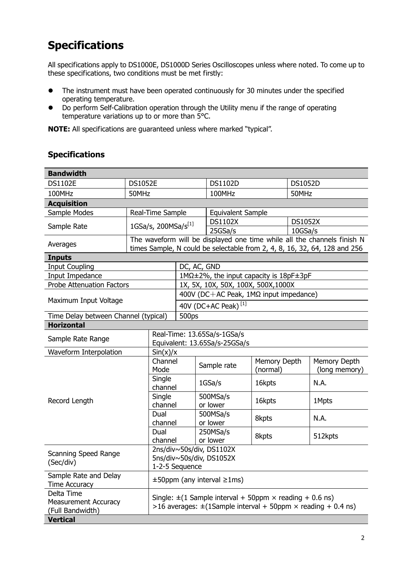# **Specifications**

All specifications apply to DS1000E, DS1000D Series Oscilloscopes unless where noted. To come up to these specifications, two conditions must be met firstly:

- The instrument must have been operated continuously for 30 minutes under the specified operating temperature.
- Do perform Self-Calibration operation through the Utility menu if the range of operating temperature variations up to or more than 5°C.

**NOTE:** All specifications are guaranteed unless where marked "typical".

# **Specifications**

| <b>Bandwidth</b>                                              |                                 |                                                                                                                                                 |                                        |                                                                                                                                                      |                          |                |                               |  |
|---------------------------------------------------------------|---------------------------------|-------------------------------------------------------------------------------------------------------------------------------------------------|----------------------------------------|------------------------------------------------------------------------------------------------------------------------------------------------------|--------------------------|----------------|-------------------------------|--|
| <b>DS1102E</b>                                                | <b>DS1052E</b>                  |                                                                                                                                                 |                                        | <b>DS1102D</b>                                                                                                                                       |                          | <b>DS1052D</b> |                               |  |
| 100MHz                                                        | 50MHz                           |                                                                                                                                                 |                                        | 100MHz                                                                                                                                               |                          | 50MHz          |                               |  |
| <b>Acquisition</b>                                            |                                 |                                                                                                                                                 |                                        |                                                                                                                                                      |                          |                |                               |  |
| Sample Modes                                                  | Real-Time Sample                |                                                                                                                                                 |                                        | <b>Equivalent Sample</b>                                                                                                                             |                          |                |                               |  |
| Sample Rate                                                   | 1GSa/s, 200MSa/s <sup>[1]</sup> |                                                                                                                                                 |                                        | <b>DS1102X</b>                                                                                                                                       |                          | <b>DS1052X</b> |                               |  |
|                                                               |                                 |                                                                                                                                                 | 25GSa/s                                |                                                                                                                                                      | 10GSa/s                  |                |                               |  |
| Averages                                                      |                                 |                                                                                                                                                 |                                        | The waveform will be displayed one time while all the channels finish N<br>times Sample, N could be selectable from 2, 4, 8, 16, 32, 64, 128 and 256 |                          |                |                               |  |
| <b>Inputs</b>                                                 |                                 |                                                                                                                                                 |                                        |                                                                                                                                                      |                          |                |                               |  |
| <b>Input Coupling</b>                                         |                                 |                                                                                                                                                 | DC, AC, GND                            |                                                                                                                                                      |                          |                |                               |  |
| Input Impedance                                               |                                 |                                                                                                                                                 | 1MΩ±2%, the input capacity is 18pF±3pF |                                                                                                                                                      |                          |                |                               |  |
| <b>Probe Attenuation Factors</b>                              |                                 |                                                                                                                                                 | 1X, 5X, 10X, 50X, 100X, 500X, 1000X    |                                                                                                                                                      |                          |                |                               |  |
| Maximum Input Voltage                                         |                                 | 400V (DC+AC Peak, $1M\Omega$ input impedance)                                                                                                   |                                        |                                                                                                                                                      |                          |                |                               |  |
|                                                               |                                 | 40V (DC+AC Peak) <sup>[1]</sup>                                                                                                                 |                                        |                                                                                                                                                      |                          |                |                               |  |
| Time Delay between Channel (typical)                          |                                 |                                                                                                                                                 | 500ps                                  |                                                                                                                                                      |                          |                |                               |  |
| <b>Horizontal</b>                                             |                                 |                                                                                                                                                 |                                        |                                                                                                                                                      |                          |                |                               |  |
| Sample Rate Range                                             |                                 | Real-Time: 13.65Sa/s-1GSa/s<br>Equivalent: 13.65Sa/s-25GSa/s                                                                                    |                                        |                                                                                                                                                      |                          |                |                               |  |
| Sin(x)/x<br>Waveform Interpolation                            |                                 |                                                                                                                                                 |                                        |                                                                                                                                                      |                          |                |                               |  |
|                                                               |                                 | Channel<br>Mode                                                                                                                                 |                                        | Sample rate                                                                                                                                          | Memory Depth<br>(normal) |                | Memory Depth<br>(long memory) |  |
|                                                               |                                 | Single<br>channel                                                                                                                               |                                        | 1GSa/s                                                                                                                                               | 16kpts                   |                | N.A.                          |  |
| Record Length                                                 |                                 | Single<br>channel                                                                                                                               |                                        | 500MSa/s<br>or lower                                                                                                                                 | 16kpts                   |                | 1Mpts                         |  |
|                                                               | Dual                            | channel                                                                                                                                         |                                        | 500MSa/s<br>or lower                                                                                                                                 | 8kpts                    |                | N.A.                          |  |
|                                                               | Dual                            | channel                                                                                                                                         |                                        | 250MSa/s<br>or lower                                                                                                                                 | 8kpts                    |                | 512kpts                       |  |
| <b>Scanning Speed Range</b><br>(Sec/div)                      |                                 | 2ns/div~50s/div, DS1102X<br>5ns/div~50s/div, DS1052X<br>1-2-5 Sequence                                                                          |                                        |                                                                                                                                                      |                          |                |                               |  |
| Sample Rate and Delay<br><b>Time Accuracy</b>                 |                                 | $\pm 50$ ppm (any interval $\geq 1$ ms)                                                                                                         |                                        |                                                                                                                                                      |                          |                |                               |  |
| Delta Time<br><b>Measurement Accuracy</b><br>(Full Bandwidth) |                                 | Single: $\pm$ (1 Sample interval + 50ppm $\times$ reading + 0.6 ns)<br>>16 averages: $\pm$ (1Sample interval + 50ppm $\times$ reading + 0.4 ns) |                                        |                                                                                                                                                      |                          |                |                               |  |
| <b>Vertical</b>                                               |                                 |                                                                                                                                                 |                                        |                                                                                                                                                      |                          |                |                               |  |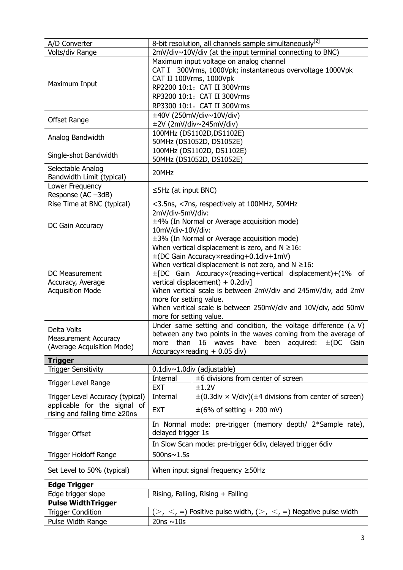| A/D Converter                                                                                     | 8-bit resolution, all channels sample simultaneously <sup>[2]</sup>                                                                                                                                                                                                                                                                                                                                                                                  |                                                                                                                                                                                                                              |  |  |
|---------------------------------------------------------------------------------------------------|------------------------------------------------------------------------------------------------------------------------------------------------------------------------------------------------------------------------------------------------------------------------------------------------------------------------------------------------------------------------------------------------------------------------------------------------------|------------------------------------------------------------------------------------------------------------------------------------------------------------------------------------------------------------------------------|--|--|
| Volts/div Range                                                                                   | 2mV/div~10V/div (at the input terminal connecting to BNC)                                                                                                                                                                                                                                                                                                                                                                                            |                                                                                                                                                                                                                              |  |  |
| Maximum Input                                                                                     |                                                                                                                                                                                                                                                                                                                                                                                                                                                      | Maximum input voltage on analog channel<br>CAT I 300Vrms, 1000Vpk; instantaneous overvoltage 1000Vpk<br>CAT II 100Vrms, 1000Vpk<br>RP2200 10:1: CAT II 300Vrms<br>RP3200 10:1: CAT II 300Vrms<br>RP3300 10:1: CAT II 300Vrms |  |  |
| <b>Offset Range</b>                                                                               | ±40V (250mV/div~10V/div)<br>±2V (2mV/div~245mV/div)                                                                                                                                                                                                                                                                                                                                                                                                  |                                                                                                                                                                                                                              |  |  |
| Analog Bandwidth                                                                                  | 100MHz (DS1102D, DS1102E)<br>50MHz (DS1052D, DS1052E)                                                                                                                                                                                                                                                                                                                                                                                                |                                                                                                                                                                                                                              |  |  |
| Single-shot Bandwidth                                                                             | 100MHz (DS1102D, DS1102E)<br>50MHz (DS1052D, DS1052E)                                                                                                                                                                                                                                                                                                                                                                                                |                                                                                                                                                                                                                              |  |  |
| Selectable Analog<br>Bandwidth Limit (typical)                                                    | 20MHz                                                                                                                                                                                                                                                                                                                                                                                                                                                |                                                                                                                                                                                                                              |  |  |
| Lower Frequency<br>Response (AC-3dB)                                                              | $\leq$ 5Hz (at input BNC)                                                                                                                                                                                                                                                                                                                                                                                                                            |                                                                                                                                                                                                                              |  |  |
| Rise Time at BNC (typical)                                                                        | <3.5ns, <7ns, respectively at 100MHz, 50MHz                                                                                                                                                                                                                                                                                                                                                                                                          |                                                                                                                                                                                                                              |  |  |
| DC Gain Accuracy                                                                                  | 2mV/div-5mV/div:<br>±4% (In Normal or Average acquisition mode)<br>10mV/div-10V/div:<br>±3% (In Normal or Average acquisition mode)                                                                                                                                                                                                                                                                                                                  |                                                                                                                                                                                                                              |  |  |
| <b>DC Measurement</b><br>Accuracy, Average<br><b>Acquisition Mode</b>                             | When vertical displacement is zero, and $N \ge 16$ :<br>±(DC Gain Accuracy×reading+0.1div+1mV)<br>When vertical displacement is not zero, and $N \ge 16$ :<br>±[DC Gain Accuracy×(reading+vertical displacement)+(1% of<br>vertical displacement) + 0.2div]<br>When vertical scale is between 2mV/div and 245mV/div, add 2mV<br>more for setting value.<br>When vertical scale is between 250mV/div and 10V/div, add 50mV<br>more for setting value. |                                                                                                                                                                                                                              |  |  |
| Delta Volts<br><b>Measurement Accuracy</b><br>(Average Acquisition Mode)                          | Under same setting and condition, the voltage difference $(\triangle V)$<br>between any two points in the waves coming from the average of<br>than 16 waves have been acquired: $\pm (DC)$ Gain<br>more<br>$Accuracy \times reading + 0.05$ div)                                                                                                                                                                                                     |                                                                                                                                                                                                                              |  |  |
| <b>Trigger</b>                                                                                    |                                                                                                                                                                                                                                                                                                                                                                                                                                                      |                                                                                                                                                                                                                              |  |  |
| <b>Trigger Sensitivity</b>                                                                        | 0.1div~1.0div (adjustable)                                                                                                                                                                                                                                                                                                                                                                                                                           |                                                                                                                                                                                                                              |  |  |
| <b>Trigger Level Range</b>                                                                        | Internal                                                                                                                                                                                                                                                                                                                                                                                                                                             | ±6 divisions from center of screen                                                                                                                                                                                           |  |  |
|                                                                                                   | <b>EXT</b>                                                                                                                                                                                                                                                                                                                                                                                                                                           | ±1.2V                                                                                                                                                                                                                        |  |  |
| Trigger Level Accuracy (typical)<br>applicable for the signal of<br>rising and falling time ≥20ns | Internal<br><b>EXT</b>                                                                                                                                                                                                                                                                                                                                                                                                                               | $\pm$ (0.3div × V/div)( $\pm$ 4 divisions from center of screen)<br>$\pm$ (6% of setting + 200 mV)                                                                                                                           |  |  |
| <b>Trigger Offset</b>                                                                             | In Normal mode: pre-trigger (memory depth/ 2*Sample rate),<br>delayed trigger 1s                                                                                                                                                                                                                                                                                                                                                                     |                                                                                                                                                                                                                              |  |  |
|                                                                                                   | In Slow Scan mode: pre-trigger 6div, delayed trigger 6div                                                                                                                                                                                                                                                                                                                                                                                            |                                                                                                                                                                                                                              |  |  |
| Trigger Holdoff Range                                                                             | 500ns~1.5s                                                                                                                                                                                                                                                                                                                                                                                                                                           |                                                                                                                                                                                                                              |  |  |
| Set Level to 50% (typical)                                                                        | When input signal frequency $\geq$ 50Hz                                                                                                                                                                                                                                                                                                                                                                                                              |                                                                                                                                                                                                                              |  |  |
| <b>Edge Trigger</b>                                                                               |                                                                                                                                                                                                                                                                                                                                                                                                                                                      |                                                                                                                                                                                                                              |  |  |
| Edge trigger slope<br>Rising, Falling, Rising + Falling<br><b>Pulse WidthTrigger</b>              |                                                                                                                                                                                                                                                                                                                                                                                                                                                      |                                                                                                                                                                                                                              |  |  |
| <b>Trigger Condition</b>                                                                          | $(>, <, =)$ Positive pulse width, $(>, <, =)$ Negative pulse width                                                                                                                                                                                                                                                                                                                                                                                   |                                                                                                                                                                                                                              |  |  |
| Pulse Width Range                                                                                 | 20ns $\sim$ 10s                                                                                                                                                                                                                                                                                                                                                                                                                                      |                                                                                                                                                                                                                              |  |  |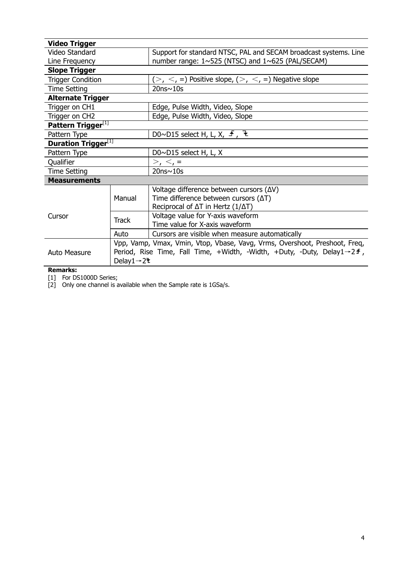| <b>Video Trigger</b>                   |                                                                                       |                                                                  |  |  |
|----------------------------------------|---------------------------------------------------------------------------------------|------------------------------------------------------------------|--|--|
| Video Standard                         |                                                                                       | Support for standard NTSC, PAL and SECAM broadcast systems. Line |  |  |
| Line Frequency                         |                                                                                       | number range: $1 \sim 525$ (NTSC) and $1 \sim 625$ (PAL/SECAM)   |  |  |
| <b>Slope Trigger</b>                   |                                                                                       |                                                                  |  |  |
| <b>Trigger Condition</b>               |                                                                                       | $(>, <, =)$ Positive slope, $(>, <, =)$ Negative slope           |  |  |
| Time Setting                           |                                                                                       | $20ns \sim 10s$                                                  |  |  |
| <b>Alternate Trigger</b>               |                                                                                       |                                                                  |  |  |
| Trigger on CH1                         |                                                                                       | Edge, Pulse Width, Video, Slope                                  |  |  |
| Trigger on CH2                         |                                                                                       | Edge, Pulse Width, Video, Slope                                  |  |  |
| Pattern Trigger[1]                     |                                                                                       |                                                                  |  |  |
| Pattern Type                           |                                                                                       | D0~D15 select H, L, X, $\pm$ , $\pm$                             |  |  |
| <b>Duration Trigger</b> <sup>[1]</sup> |                                                                                       |                                                                  |  |  |
| Pattern Type                           |                                                                                       | D0~D15 select H, L, X                                            |  |  |
| Qualifier                              |                                                                                       | > 1, 5, 5                                                        |  |  |
| <b>Time Setting</b>                    |                                                                                       | $20ns \sim 10s$                                                  |  |  |
| <b>Measurements</b>                    |                                                                                       |                                                                  |  |  |
|                                        | Manual                                                                                | Voltage difference between cursors $(\Delta V)$                  |  |  |
| Cursor                                 |                                                                                       | Time difference between cursors $(\Delta T)$                     |  |  |
|                                        |                                                                                       | Reciprocal of $\Delta T$ in Hertz ( $1/\Delta T$ )               |  |  |
|                                        | <b>Track</b>                                                                          | Voltage value for Y-axis waveform                                |  |  |
|                                        |                                                                                       | Time value for X-axis waveform                                   |  |  |
|                                        | Auto                                                                                  | Cursors are visible when measure automatically                   |  |  |
|                                        | Vpp, Vamp, Vmax, Vmin, Vtop, Vbase, Vavg, Vrms, Overshoot, Preshoot, Freq,            |                                                                  |  |  |
| Auto Measure                           | Period, Rise Time, Fall Time, +Width, -Width, +Duty, -Duty, Delay1 $\rightarrow$ 2 f, |                                                                  |  |  |
|                                        | Delay $1 \rightarrow 2$ t                                                             |                                                                  |  |  |

**Remarks:**

[1] For DS1000D Series;

[2] Only one channel is available when the Sample rate is 1GSa/s.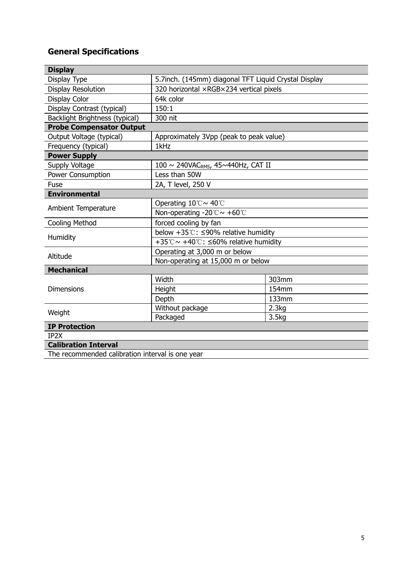# **General Specifications**

| <b>Display</b>                                   |                                                            |       |  |  |  |  |
|--------------------------------------------------|------------------------------------------------------------|-------|--|--|--|--|
| Display Type                                     | 5.7inch. (145mm) diagonal TFT Liquid Crystal Display       |       |  |  |  |  |
| <b>Display Resolution</b>                        | 320 horizontal ×RGB×234 vertical pixels                    |       |  |  |  |  |
| Display Color                                    | 64k color                                                  |       |  |  |  |  |
| Display Contrast (typical)                       | 150:1                                                      |       |  |  |  |  |
| <b>Backlight Brightness (typical)</b>            | 300 nit                                                    |       |  |  |  |  |
| <b>Probe Compensator Output</b>                  |                                                            |       |  |  |  |  |
| Output Voltage (typical)                         | Approximately 3Vpp (peak to peak value)                    |       |  |  |  |  |
| Frequency (typical)                              | 1kHz                                                       |       |  |  |  |  |
| <b>Power Supply</b>                              |                                                            |       |  |  |  |  |
| Supply Voltage                                   | 100 $\sim$ 240VAC <sub>RMS</sub> , 45 $\sim$ 440Hz, CAT II |       |  |  |  |  |
| <b>Power Consumption</b>                         | Less than 50W                                              |       |  |  |  |  |
| Fuse                                             | 2A, T level, 250 V                                         |       |  |  |  |  |
| <b>Environmental</b>                             |                                                            |       |  |  |  |  |
| Ambient Temperature                              | Operating 10℃~ 40℃                                         |       |  |  |  |  |
|                                                  | Non-operating -20 $\degree$ C ~ +60 $\degree$ C            |       |  |  |  |  |
| <b>Cooling Method</b>                            | forced cooling by fan                                      |       |  |  |  |  |
|                                                  | below $+35^{\circ}$ : $\leq$ 90% relative humidity         |       |  |  |  |  |
| Humidity                                         | +35℃~ +40℃: ≤60% relative humidity                         |       |  |  |  |  |
| Altitude                                         | Operating at 3,000 m or below                              |       |  |  |  |  |
|                                                  | Non-operating at 15,000 m or below                         |       |  |  |  |  |
| <b>Mechanical</b>                                |                                                            |       |  |  |  |  |
| <b>Dimensions</b>                                | Width                                                      | 303mm |  |  |  |  |
|                                                  | Height                                                     | 154mm |  |  |  |  |
|                                                  | Depth                                                      | 133mm |  |  |  |  |
| Weight                                           | Without package                                            | 2.3kg |  |  |  |  |
|                                                  | Packaged                                                   | 3.5kg |  |  |  |  |
| <b>IP Protection</b>                             |                                                            |       |  |  |  |  |
| IP <sub>2</sub> X                                |                                                            |       |  |  |  |  |
| <b>Calibration Interval</b>                      |                                                            |       |  |  |  |  |
| The recommended calibration interval is one year |                                                            |       |  |  |  |  |